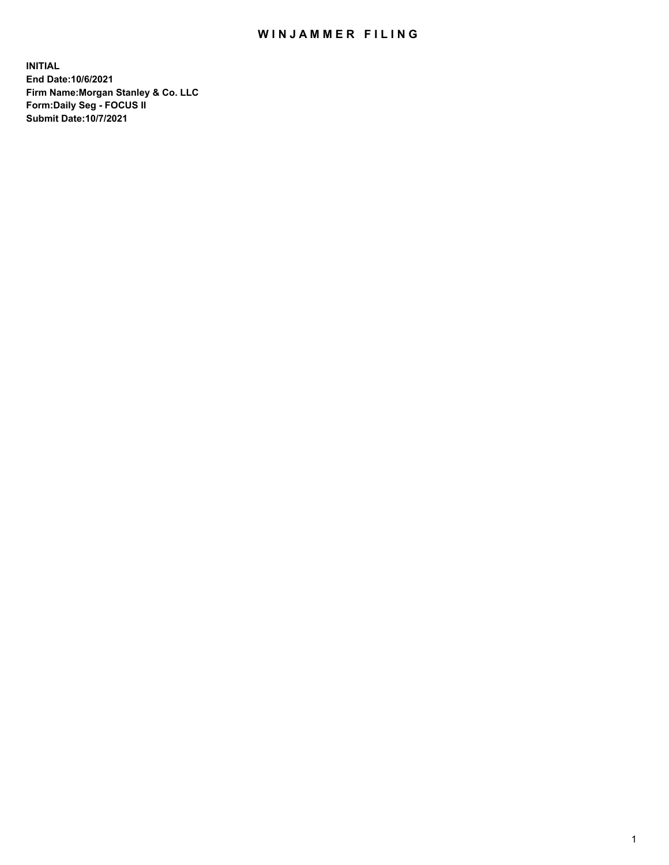## WIN JAMMER FILING

**INITIAL End Date:10/6/2021 Firm Name:Morgan Stanley & Co. LLC Form:Daily Seg - FOCUS II Submit Date:10/7/2021**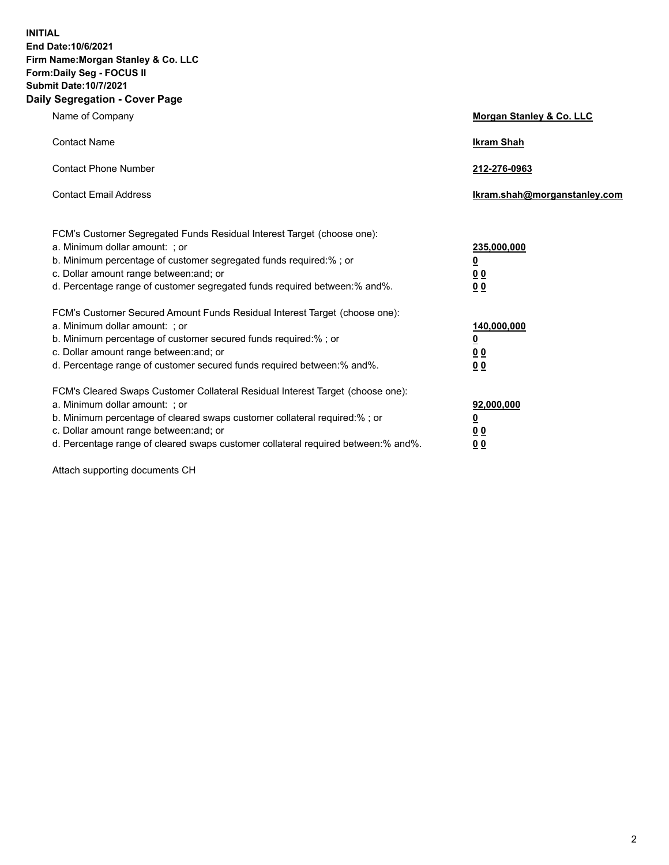**INITIAL End Date:10/6/2021 Firm Name:Morgan Stanley & Co. LLC Form:Daily Seg - FOCUS II Submit Date:10/7/2021 Daily Segregation - Cover Page**

| Name of Company                                                                                                                                                                                                                                                                                                                | <b>Morgan Stanley &amp; Co. LLC</b>                    |
|--------------------------------------------------------------------------------------------------------------------------------------------------------------------------------------------------------------------------------------------------------------------------------------------------------------------------------|--------------------------------------------------------|
| <b>Contact Name</b>                                                                                                                                                                                                                                                                                                            | <b>Ikram Shah</b>                                      |
| <b>Contact Phone Number</b>                                                                                                                                                                                                                                                                                                    | 212-276-0963                                           |
| <b>Contact Email Address</b>                                                                                                                                                                                                                                                                                                   | Ikram.shah@morganstanley.com                           |
| FCM's Customer Segregated Funds Residual Interest Target (choose one):<br>a. Minimum dollar amount: : or<br>b. Minimum percentage of customer segregated funds required:%; or<br>c. Dollar amount range between: and; or<br>d. Percentage range of customer segregated funds required between:% and%.                          | 235,000,000<br><u>0</u><br><u>00</u><br><u>00</u>      |
| FCM's Customer Secured Amount Funds Residual Interest Target (choose one):<br>a. Minimum dollar amount: ; or<br>b. Minimum percentage of customer secured funds required:%; or<br>c. Dollar amount range between: and; or<br>d. Percentage range of customer secured funds required between:% and%.                            | 140,000,000<br><u>0</u><br><u>00</u><br>0 <sub>0</sub> |
| FCM's Cleared Swaps Customer Collateral Residual Interest Target (choose one):<br>a. Minimum dollar amount: ; or<br>b. Minimum percentage of cleared swaps customer collateral required:% ; or<br>c. Dollar amount range between: and; or<br>d. Percentage range of cleared swaps customer collateral required between:% and%. | 92,000,000<br><u>0</u><br><u>00</u><br>00              |

Attach supporting documents CH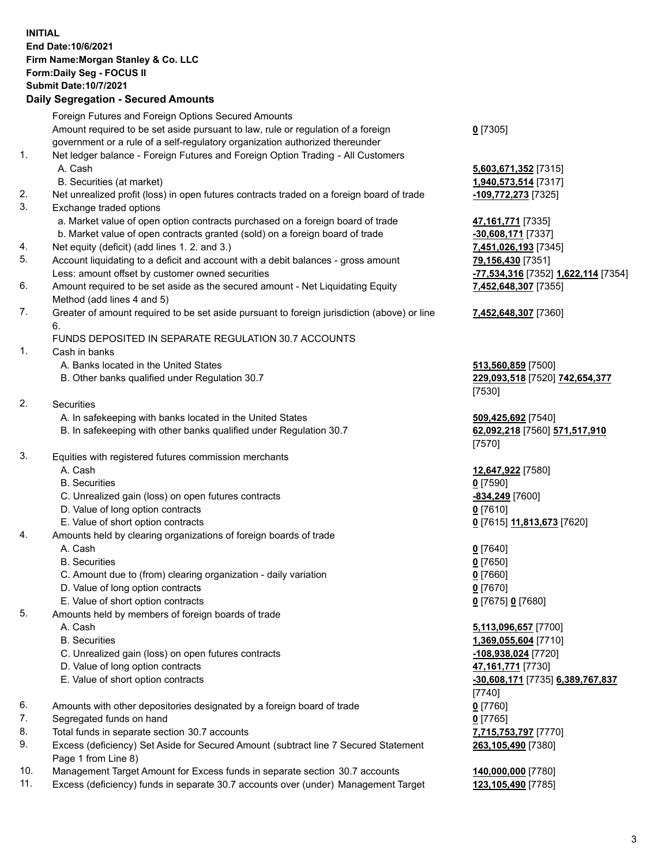## **INITIAL End Date:10/6/2021 Firm Name:Morgan Stanley & Co. LLC Form:Daily Seg - FOCUS II Submit Date:10/7/2021**

## **Daily Segregation - Secured Amounts**

|    | Foreign Futures and Foreign Options Secured Amounts                                         |                                         |
|----|---------------------------------------------------------------------------------------------|-----------------------------------------|
|    | Amount required to be set aside pursuant to law, rule or regulation of a foreign            | $0$ [7305]                              |
|    | government or a rule of a self-regulatory organization authorized thereunder                |                                         |
| 1. | Net ledger balance - Foreign Futures and Foreign Option Trading - All Customers             |                                         |
|    | A. Cash                                                                                     | 5,603,671,352 [7315]                    |
|    | B. Securities (at market)                                                                   | 1,940,573,514 [7317]                    |
| 2. | Net unrealized profit (loss) in open futures contracts traded on a foreign board of trade   | -109,772,273 [7325]                     |
| 3. | Exchange traded options                                                                     |                                         |
|    | a. Market value of open option contracts purchased on a foreign board of trade              | 47,161,771 [7335]                       |
|    | b. Market value of open contracts granted (sold) on a foreign board of trade                | -30,608,171 [7337]                      |
| 4. | Net equity (deficit) (add lines 1. 2. and 3.)                                               | 7,451,026,193 [7345]                    |
| 5. | Account liquidating to a deficit and account with a debit balances - gross amount           | 79,156,430 [7351]                       |
|    | Less: amount offset by customer owned securities                                            | -77,534,316 [7352] 1,622,114 [7354]     |
| 6. | Amount required to be set aside as the secured amount - Net Liquidating Equity              | 7,452,648,307 [7355]                    |
|    | Method (add lines 4 and 5)                                                                  |                                         |
| 7. | Greater of amount required to be set aside pursuant to foreign jurisdiction (above) or line | 7,452,648,307 [7360]                    |
|    | 6.<br>FUNDS DEPOSITED IN SEPARATE REGULATION 30.7 ACCOUNTS                                  |                                         |
| 1. | Cash in banks                                                                               |                                         |
|    | A. Banks located in the United States                                                       | 513,560,859 [7500]                      |
|    | B. Other banks qualified under Regulation 30.7                                              | 229,093,518 [7520] 742,654,377          |
|    |                                                                                             | [7530]                                  |
| 2. | Securities                                                                                  |                                         |
|    | A. In safekeeping with banks located in the United States                                   | 509,425,692 [7540]                      |
|    | B. In safekeeping with other banks qualified under Regulation 30.7                          | 62,092,218 [7560] 571,517,910<br>[7570] |
| 3. | Equities with registered futures commission merchants                                       |                                         |
|    | A. Cash                                                                                     | 12,647,922 [7580]                       |
|    | <b>B.</b> Securities                                                                        | $0$ [7590]                              |
|    | C. Unrealized gain (loss) on open futures contracts                                         | -834,249 [7600]                         |
|    | D. Value of long option contracts                                                           | $0$ [7610]                              |
|    | E. Value of short option contracts                                                          | 0 [7615] 11,813,673 [7620]              |
| 4. | Amounts held by clearing organizations of foreign boards of trade                           |                                         |
|    | A. Cash                                                                                     | $0$ [7640]                              |
|    | <b>B.</b> Securities                                                                        | $0$ [7650]                              |
|    | C. Amount due to (from) clearing organization - daily variation                             | $0$ [7660]                              |
|    | D. Value of long option contracts                                                           | $0$ [7670]                              |
|    | E. Value of short option contracts                                                          | 0 [7675] 0 [7680]                       |
| 5. | Amounts held by members of foreign boards of trade                                          |                                         |
|    | A. Cash                                                                                     | 5,113,096,657 [7700]                    |
|    | <b>B.</b> Securities                                                                        | 1,369,055,604 [7710]                    |
|    | C. Unrealized gain (loss) on open futures contracts                                         | -108,938,024 [7720]                     |
|    | D. Value of long option contracts                                                           | 47,161,771 [7730]                       |
|    | E. Value of short option contracts                                                          | -30,608,171 [7735] 6,389,767,837        |
|    |                                                                                             | [7740]                                  |
| 6. | Amounts with other depositories designated by a foreign board of trade                      | $0$ [7760]                              |
| 7. | Segregated funds on hand                                                                    | $0$ [7765]                              |
| 8. | Total funds in separate section 30.7 accounts                                               | 7,715,753,797 [7770]                    |
| 9. | Excess (deficiency) Set Aside for Secured Amount (subtract line 7 Secured Statement         | 263,105,490 [7380]                      |
|    | Page 1 from Line 8)                                                                         |                                         |

- 10. Management Target Amount for Excess funds in separate section 30.7 accounts **140,000,000** [7780]
- 11. Excess (deficiency) funds in separate 30.7 accounts over (under) Management Target **123,105,490** [7785]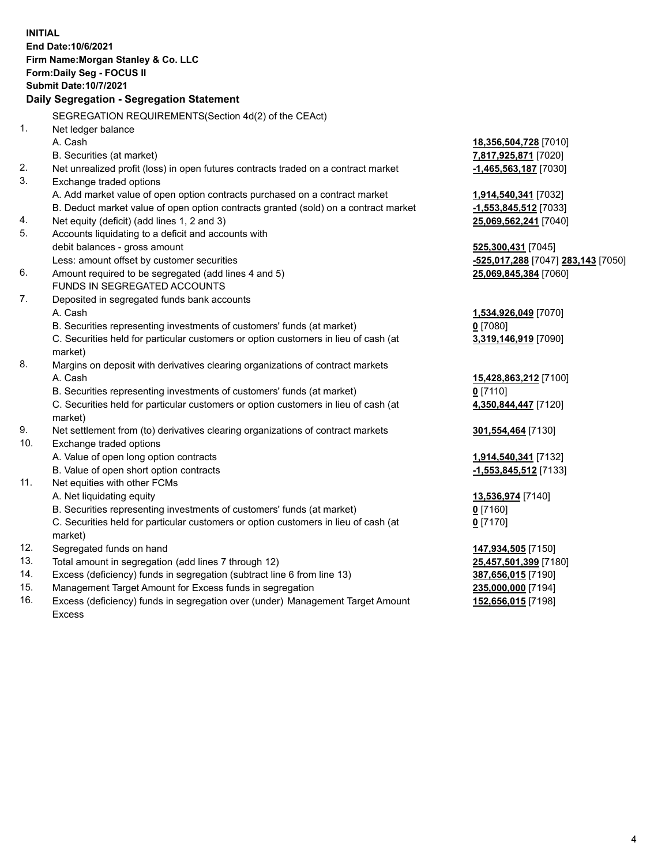**INITIAL End Date:10/6/2021 Firm Name:Morgan Stanley & Co. LLC Form:Daily Seg - FOCUS II Submit Date:10/7/2021 Daily Segregation - Segregation Statement** SEGREGATION REQUIREMENTS(Section 4d(2) of the CEAct) 1. Net ledger balance A. Cash **18,356,504,728** [7010] B. Securities (at market) **7,817,925,871** [7020] 2. Net unrealized profit (loss) in open futures contracts traded on a contract market **-1,465,563,187** [7030] 3. Exchange traded options A. Add market value of open option contracts purchased on a contract market **1,914,540,341** [7032] B. Deduct market value of open option contracts granted (sold) on a contract market **-1,553,845,512** [7033] 4. Net equity (deficit) (add lines 1, 2 and 3) **25,069,562,241** [7040] 5. Accounts liquidating to a deficit and accounts with debit balances - gross amount **525,300,431** [7045] Less: amount offset by customer securities **-525,017,288** [7047] **283,143** [7050] 6. Amount required to be segregated (add lines 4 and 5) **25,069,845,384** [7060] FUNDS IN SEGREGATED ACCOUNTS 7. Deposited in segregated funds bank accounts A. Cash **1,534,926,049** [7070] B. Securities representing investments of customers' funds (at market) **0** [7080] C. Securities held for particular customers or option customers in lieu of cash (at market) **3,319,146,919** [7090] 8. Margins on deposit with derivatives clearing organizations of contract markets A. Cash **15,428,863,212** [7100] B. Securities representing investments of customers' funds (at market) **0** [7110] C. Securities held for particular customers or option customers in lieu of cash (at market) **4,350,844,447** [7120] 9. Net settlement from (to) derivatives clearing organizations of contract markets **301,554,464** [7130] 10. Exchange traded options A. Value of open long option contracts **1,914,540,341** [7132] B. Value of open short option contracts **-1,553,845,512** [7133] 11. Net equities with other FCMs A. Net liquidating equity **13,536,974** [7140] B. Securities representing investments of customers' funds (at market) **0** [7160] C. Securities held for particular customers or option customers in lieu of cash (at market) **0** [7170] 12. Segregated funds on hand **147,934,505** [7150] 13. Total amount in segregation (add lines 7 through 12) **25,457,501,399** [7180] 14. Excess (deficiency) funds in segregation (subtract line 6 from line 13) **387,656,015** [7190] 15. Management Target Amount for Excess funds in segregation **235,000,000** [7194] 16. Excess (deficiency) funds in segregation over (under) Management Target Amount **152,656,015** [7198]

Excess